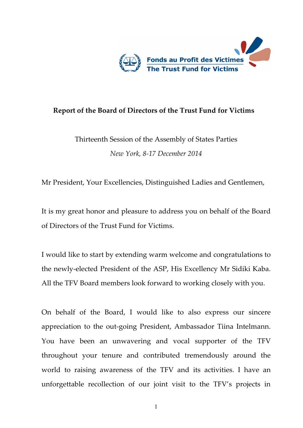

## **Report of the Board of Directors of the Trust Fund for Victims**

Thirteenth Session of the Assembly of States Parties *New York, 8-17 December 2014*

Mr President, Your Excellencies, Distinguished Ladies and Gentlemen,

It is my great honor and pleasure to address you on behalf of the Board of Directors of the Trust Fund for Victims.

I would like to start by extending warm welcome and congratulations to the newly-elected President of the ASP, His Excellency Mr Sidiki Kaba. All the TFV Board members look forward to working closely with you.

On behalf of the Board, I would like to also express our sincere appreciation to the out-going President, Ambassador Tiina Intelmann. You have been an unwavering and vocal supporter of the TFV throughout your tenure and contributed tremendously around the world to raising awareness of the TFV and its activities. I have an unforgettable recollection of our joint visit to the TFV's projects in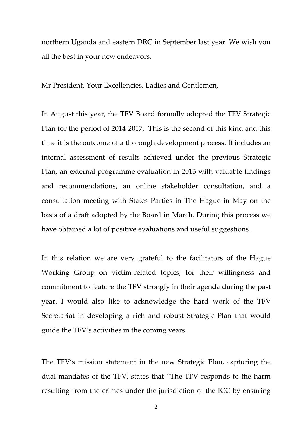northern Uganda and eastern DRC in September last year. We wish you all the best in your new endeavors.

Mr President, Your Excellencies, Ladies and Gentlemen,

In August this year, the TFV Board formally adopted the TFV Strategic Plan for the period of 2014-2017. This is the second of this kind and this time it is the outcome of a thorough development process. It includes an internal assessment of results achieved under the previous Strategic Plan, an external programme evaluation in 2013 with valuable findings and recommendations, an online stakeholder consultation, and a consultation meeting with States Parties in The Hague in May on the basis of a draft adopted by the Board in March. During this process we have obtained a lot of positive evaluations and useful suggestions.

In this relation we are very grateful to the facilitators of the Hague Working Group on victim-related topics, for their willingness and commitment to feature the TFV strongly in their agenda during the past year. I would also like to acknowledge the hard work of the TFV Secretariat in developing a rich and robust Strategic Plan that would guide the TFV's activities in the coming years.

The TFV's mission statement in the new Strategic Plan, capturing the dual mandates of the TFV, states that "The TFV responds to the harm resulting from the crimes under the jurisdiction of the ICC by ensuring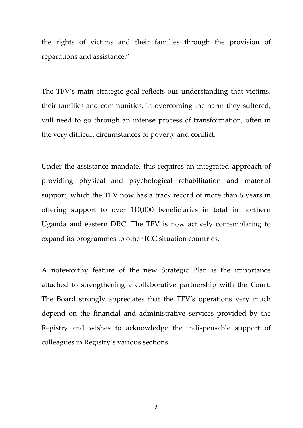the rights of victims and their families through the provision of reparations and assistance."

The TFV's main strategic goal reflects our understanding that victims, their families and communities, in overcoming the harm they suffered, will need to go through an intense process of transformation, often in the very difficult circumstances of poverty and conflict.

Under the assistance mandate, this requires an integrated approach of providing physical and psychological rehabilitation and material support, which the TFV now has a track record of more than 6 years in offering support to over 110,000 beneficiaries in total in northern Uganda and eastern DRC. The TFV is now actively contemplating to expand its programmes to other ICC situation countries.

A noteworthy feature of the new Strategic Plan is the importance attached to strengthening a collaborative partnership with the Court. The Board strongly appreciates that the TFV's operations very much depend on the financial and administrative services provided by the Registry and wishes to acknowledge the indispensable support of colleagues in Registry's various sections.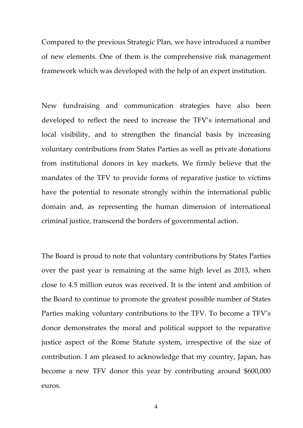Compared to the previous Strategic Plan, we have introduced a number of new elements. One of them is the comprehensive risk management framework which was developed with the help of an expert institution.

New fundraising and communication strategies have also been developed to reflect the need to increase the TFV's international and local visibility, and to strengthen the financial basis by increasing voluntary contributions from States Parties as well as private donations from institutional donors in key markets. We firmly believe that the mandates of the TFV to provide forms of reparative justice to victims have the potential to resonate strongly within the international public domain and, as representing the human dimension of international criminal justice, transcend the borders of governmental action.

The Board is proud to note that voluntary contributions by States Parties over the past year is remaining at the same high level as 2013, when close to 4.5 million euros was received. It is the intent and ambition of the Board to continue to promote the greatest possible number of States Parties making voluntary contributions to the TFV. To become a TFV's donor demonstrates the moral and political support to the reparative justice aspect of the Rome Statute system, irrespective of the size of contribution. I am pleased to acknowledge that my country, Japan, has become a new TFV donor this year by contributing around \$600,000 euros.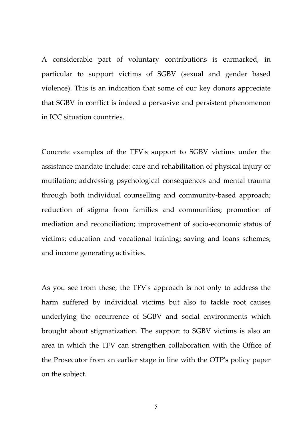A considerable part of voluntary contributions is earmarked, in particular to support victims of SGBV (sexual and gender based violence). This is an indication that some of our key donors appreciate that SGBV in conflict is indeed a pervasive and persistent phenomenon in ICC situation countries.

Concrete examples of the TFV's support to SGBV victims under the assistance mandate include: care and rehabilitation of physical injury or mutilation; addressing psychological consequences and mental trauma through both individual counselling and community-based approach; reduction of stigma from families and communities; promotion of mediation and reconciliation; improvement of socio-economic status of victims; education and vocational training; saving and loans schemes; and income generating activities.

As you see from these, the TFV's approach is not only to address the harm suffered by individual victims but also to tackle root causes underlying the occurrence of SGBV and social environments which brought about stigmatization. The support to SGBV victims is also an area in which the TFV can strengthen collaboration with the Office of the Prosecutor from an earlier stage in line with the OTP's policy paper on the subject.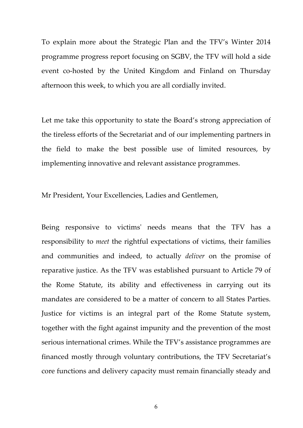To explain more about the Strategic Plan and the TFV's Winter 2014 programme progress report focusing on SGBV, the TFV will hold a side event co-hosted by the United Kingdom and Finland on Thursday afternoon this week, to which you are all cordially invited.

Let me take this opportunity to state the Board's strong appreciation of the tireless efforts of the Secretariat and of our implementing partners in the field to make the best possible use of limited resources, by implementing innovative and relevant assistance programmes.

Mr President, Your Excellencies, Ladies and Gentlemen,

Being responsive to victims' needs means that the TFV has a responsibility to *meet* the rightful expectations of victims, their families and communities and indeed, to actually *deliver* on the promise of reparative justice. As the TFV was established pursuant to Article 79 of the Rome Statute, its ability and effectiveness in carrying out its mandates are considered to be a matter of concern to all States Parties. Justice for victims is an integral part of the Rome Statute system, together with the fight against impunity and the prevention of the most serious international crimes. While the TFV's assistance programmes are financed mostly through voluntary contributions, the TFV Secretariat's core functions and delivery capacity must remain financially steady and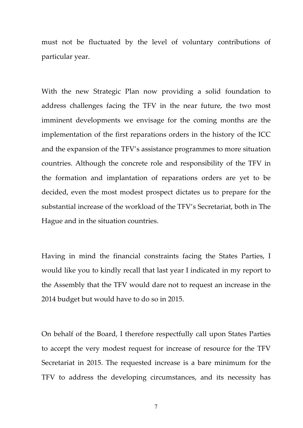must not be fluctuated by the level of voluntary contributions of particular year.

With the new Strategic Plan now providing a solid foundation to address challenges facing the TFV in the near future, the two most imminent developments we envisage for the coming months are the implementation of the first reparations orders in the history of the ICC and the expansion of the TFV's assistance programmes to more situation countries. Although the concrete role and responsibility of the TFV in the formation and implantation of reparations orders are yet to be decided, even the most modest prospect dictates us to prepare for the substantial increase of the workload of the TFV's Secretariat, both in The Hague and in the situation countries.

Having in mind the financial constraints facing the States Parties, I would like you to kindly recall that last year I indicated in my report to the Assembly that the TFV would dare not to request an increase in the 2014 budget but would have to do so in 2015.

On behalf of the Board, I therefore respectfully call upon States Parties to accept the very modest request for increase of resource for the TFV Secretariat in 2015. The requested increase is a bare minimum for the TFV to address the developing circumstances, and its necessity has